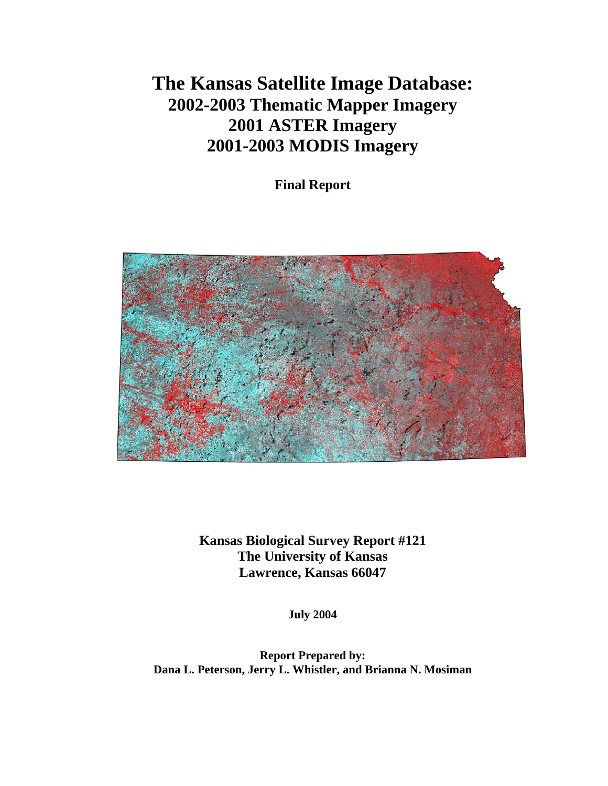# **The Kansas Satellite Image Database: 2002-2003 Thematic Mapper Imagery 2001 ASTER Imagery 2001-2003 MODIS Imagery**

**Final Report** 



**Kansas Biological Survey Report #121 The University of Kansas Lawrence, Kansas 66047**

**July 2004** 

**Report Prepared by: Dana L. Peterson, Jerry L. Whistler, and Brianna N. Mosiman**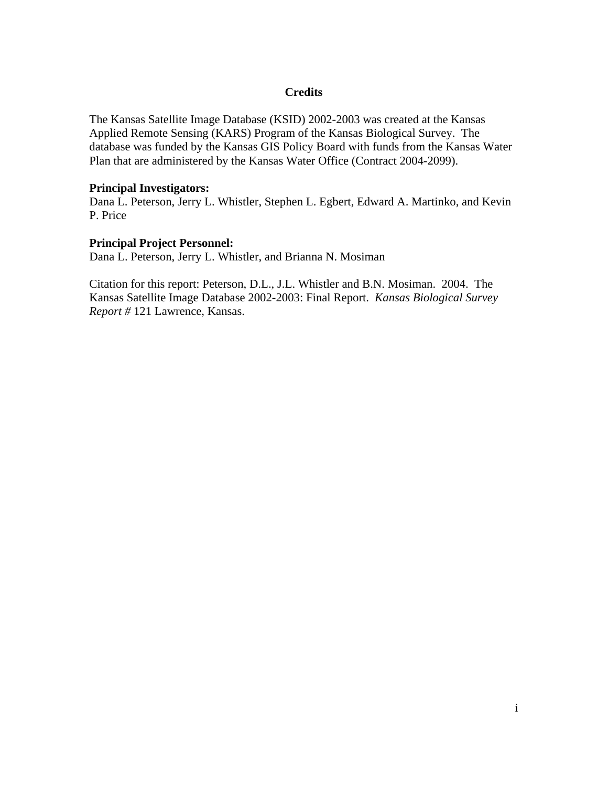## **Credits**

The Kansas Satellite Image Database (KSID) 2002-2003 was created at the Kansas Applied Remote Sensing (KARS) Program of the Kansas Biological Survey. The database was funded by the Kansas GIS Policy Board with funds from the Kansas Water Plan that are administered by the Kansas Water Office (Contract 2004-2099).

#### **Principal Investigators:**

Dana L. Peterson, Jerry L. Whistler, Stephen L. Egbert, Edward A. Martinko, and Kevin P. Price

#### **Principal Project Personnel:**

Dana L. Peterson, Jerry L. Whistler, and Brianna N. Mosiman

Citation for this report: Peterson, D.L., J.L. Whistler and B.N. Mosiman. 2004. The Kansas Satellite Image Database 2002-2003: Final Report. *Kansas Biological Survey Report #* 121 Lawrence, Kansas.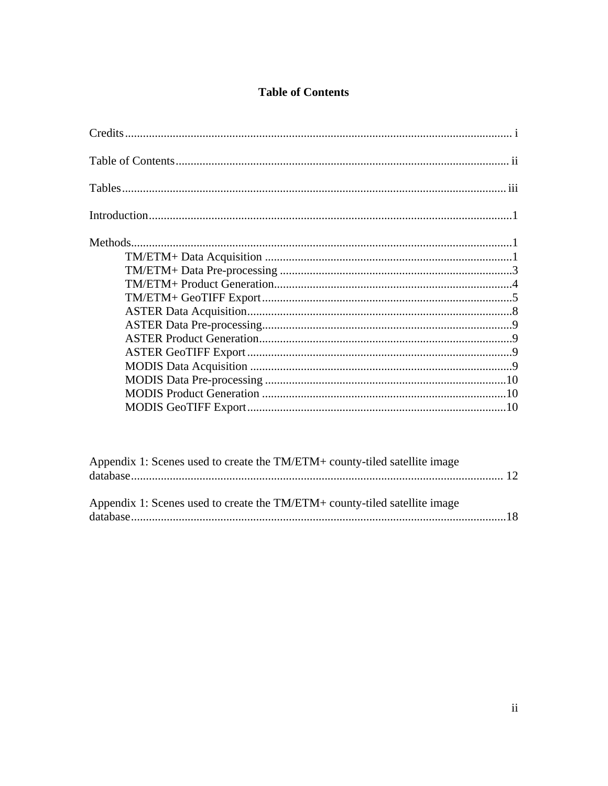## **Table of Contents**

| Appendix 1: Scenes used to create the TM/ETM+ county-tiled satellite image |  |
|----------------------------------------------------------------------------|--|
| Appendix 1: Scenes used to create the TM/ETM+ county-tiled satellite image |  |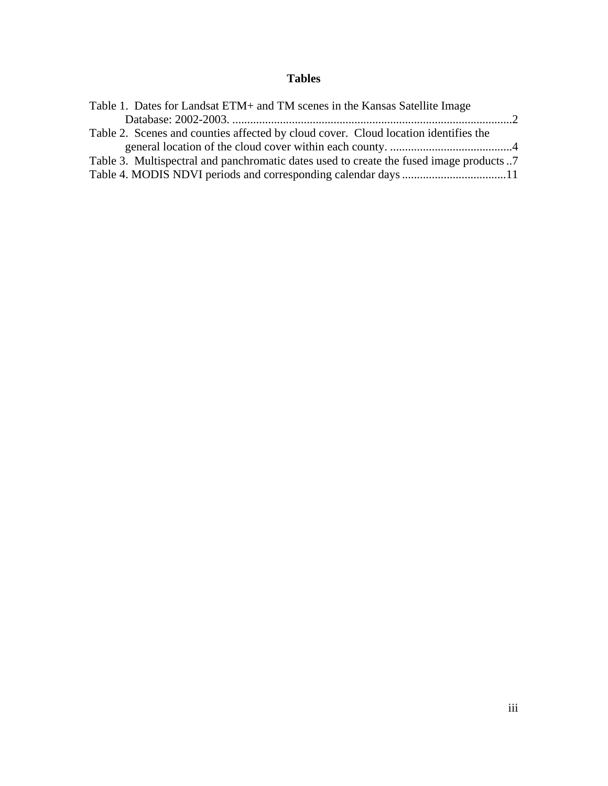# **Tables**

| Table 1. Dates for Landsat ETM+ and TM scenes in the Kansas Satellite Image             |  |
|-----------------------------------------------------------------------------------------|--|
|                                                                                         |  |
| Table 2. Scenes and counties affected by cloud cover. Cloud location identifies the     |  |
|                                                                                         |  |
| Table 3. Multispectral and panchromatic dates used to create the fused image products 7 |  |
| Table 4. MODIS NDVI periods and corresponding calendar days 11                          |  |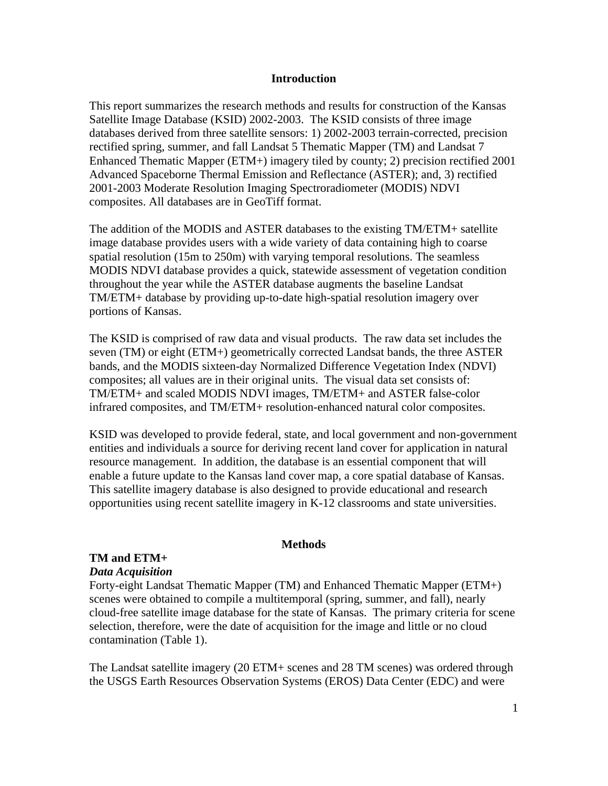#### **Introduction**

This report summarizes the research methods and results for construction of the Kansas Satellite Image Database (KSID) 2002-2003. The KSID consists of three image databases derived from three satellite sensors: 1) 2002-2003 terrain-corrected, precision rectified spring, summer, and fall Landsat 5 Thematic Mapper (TM) and Landsat 7 Enhanced Thematic Mapper (ETM+) imagery tiled by county; 2) precision rectified 2001 Advanced Spaceborne Thermal Emission and Reflectance (ASTER); and, 3) rectified 2001-2003 Moderate Resolution Imaging Spectroradiometer (MODIS) NDVI composites. All databases are in GeoTiff format.

The addition of the MODIS and ASTER databases to the existing TM/ETM+ satellite image database provides users with a wide variety of data containing high to coarse spatial resolution (15m to 250m) with varying temporal resolutions. The seamless MODIS NDVI database provides a quick, statewide assessment of vegetation condition throughout the year while the ASTER database augments the baseline Landsat TM/ETM+ database by providing up-to-date high-spatial resolution imagery over portions of Kansas.

The KSID is comprised of raw data and visual products. The raw data set includes the seven (TM) or eight (ETM+) geometrically corrected Landsat bands, the three ASTER bands, and the MODIS sixteen-day Normalized Difference Vegetation Index (NDVI) composites; all values are in their original units. The visual data set consists of: TM/ETM+ and scaled MODIS NDVI images, TM/ETM+ and ASTER false-color infrared composites, and TM/ETM+ resolution-enhanced natural color composites.

KSID was developed to provide federal, state, and local government and non-government entities and individuals a source for deriving recent land cover for application in natural resource management. In addition, the database is an essential component that will enable a future update to the Kansas land cover map, a core spatial database of Kansas. This satellite imagery database is also designed to provide educational and research opportunities using recent satellite imagery in K-12 classrooms and state universities.

#### **Methods**

#### **TM and ETM+**

#### *Data Acquisition*

Forty-eight Landsat Thematic Mapper (TM) and Enhanced Thematic Mapper (ETM+) scenes were obtained to compile a multitemporal (spring, summer, and fall), nearly cloud-free satellite image database for the state of Kansas. The primary criteria for scene selection, therefore, were the date of acquisition for the image and little or no cloud contamination (Table 1).

The Landsat satellite imagery (20 ETM+ scenes and 28 TM scenes) was ordered through the USGS Earth Resources Observation Systems (EROS) Data Center (EDC) and were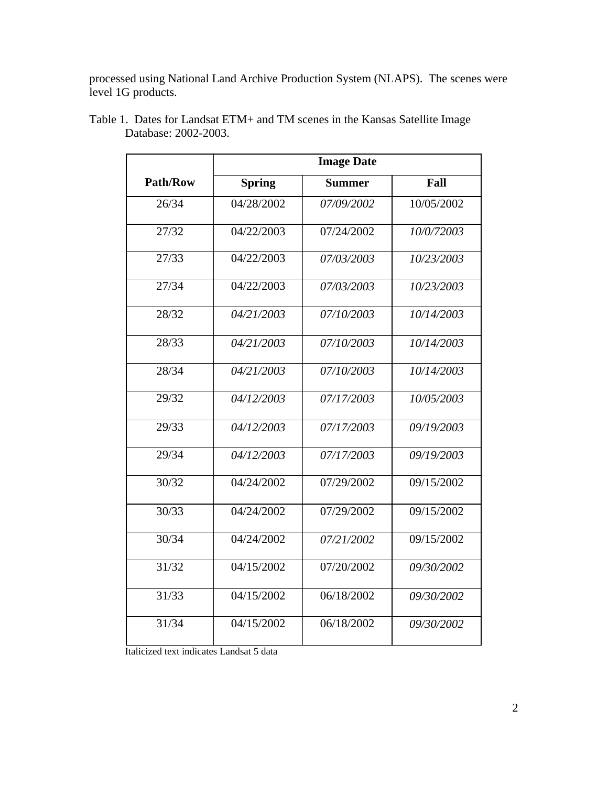processed using National Land Archive Production System (NLAPS). The scenes were level 1G products.

|                 |               | <b>Image Date</b> |            |
|-----------------|---------------|-------------------|------------|
| <b>Path/Row</b> | <b>Spring</b> | <b>Summer</b>     | Fall       |
| 26/34           | 04/28/2002    | 07/09/2002        | 10/05/2002 |
| 27/32           | 04/22/2003    | 07/24/2002        | 10/0/72003 |
| 27/33           | 04/22/2003    | 07/03/2003        | 10/23/2003 |
| 27/34           | 04/22/2003    | 07/03/2003        | 10/23/2003 |
| 28/32           | 04/21/2003    | 07/10/2003        | 10/14/2003 |
| 28/33           | 04/21/2003    | 07/10/2003        | 10/14/2003 |
| 28/34           | 04/21/2003    | 07/10/2003        | 10/14/2003 |
| 29/32           | 04/12/2003    | 07/17/2003        | 10/05/2003 |
| 29/33           | 04/12/2003    | 07/17/2003        | 09/19/2003 |
| 29/34           | 04/12/2003    | 07/17/2003        | 09/19/2003 |
| 30/32           | 04/24/2002    | 07/29/2002        | 09/15/2002 |
| 30/33           | 04/24/2002    | 07/29/2002        | 09/15/2002 |
| 30/34           | 04/24/2002    | 07/21/2002        | 09/15/2002 |
| 31/32           | 04/15/2002    | 07/20/2002        | 09/30/2002 |
| 31/33           | 04/15/2002    | 06/18/2002        | 09/30/2002 |
| 31/34           | 04/15/2002    | 06/18/2002        | 09/30/2002 |
|                 |               |                   |            |

Table 1. Dates for Landsat ETM+ and TM scenes in the Kansas Satellite Image Database: 2002-2003.

Italicized text indicates Landsat 5 data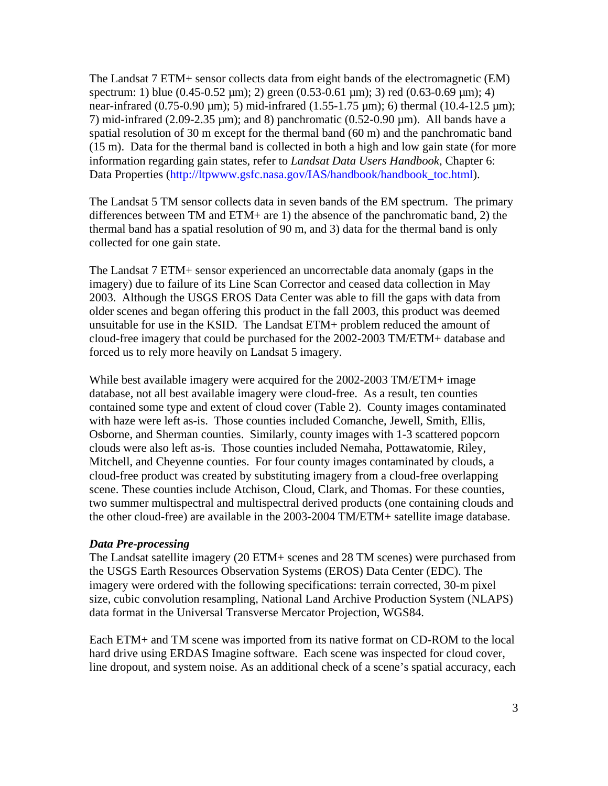The Landsat 7 ETM+ sensor collects data from eight bands of the electromagnetic (EM) spectrum: 1) blue (0.45-0.52 μm); 2) green (0.53-0.61 μm); 3) red (0.63-0.69 μm); 4) near-infrared (0.75-0.90 μm); 5) mid-infrared (1.55-1.75 μm); 6) thermal (10.4-12.5 μm); 7) mid-infrared (2.09-2.35  $\mu$ m); and 8) panchromatic (0.52-0.90  $\mu$ m). All bands have a spatial resolution of 30 m except for the thermal band (60 m) and the panchromatic band (15 m). Data for the thermal band is collected in both a high and low gain state (for more information regarding gain states, refer to *Landsat Data Users Handbook*, Chapter 6: Data Properties (http://ltpwww.gsfc.nasa.gov/IAS/handbook/handbook\_toc.html).

The Landsat 5 TM sensor collects data in seven bands of the EM spectrum. The primary differences between TM and ETM+ are 1) the absence of the panchromatic band, 2) the thermal band has a spatial resolution of 90 m, and 3) data for the thermal band is only collected for one gain state.

The Landsat 7 ETM+ sensor experienced an uncorrectable data anomaly (gaps in the imagery) due to failure of its Line Scan Corrector and ceased data collection in May 2003. Although the USGS EROS Data Center was able to fill the gaps with data from older scenes and began offering this product in the fall 2003, this product was deemed unsuitable for use in the KSID. The Landsat ETM+ problem reduced the amount of cloud-free imagery that could be purchased for the 2002-2003 TM/ETM+ database and forced us to rely more heavily on Landsat 5 imagery.

While best available imagery were acquired for the 2002-2003 TM/ETM+ image database, not all best available imagery were cloud-free. As a result, ten counties contained some type and extent of cloud cover (Table 2). County images contaminated with haze were left as-is. Those counties included Comanche, Jewell, Smith, Ellis, Osborne, and Sherman counties. Similarly, county images with 1-3 scattered popcorn clouds were also left as-is. Those counties included Nemaha, Pottawatomie, Riley, Mitchell, and Cheyenne counties. For four county images contaminated by clouds, a cloud-free product was created by substituting imagery from a cloud-free overlapping scene. These counties include Atchison, Cloud, Clark, and Thomas. For these counties, two summer multispectral and multispectral derived products (one containing clouds and the other cloud-free) are available in the 2003-2004 TM/ETM+ satellite image database.

#### *Data Pre-processing*

The Landsat satellite imagery (20 ETM+ scenes and 28 TM scenes) were purchased from the USGS Earth Resources Observation Systems (EROS) Data Center (EDC). The imagery were ordered with the following specifications: terrain corrected, 30-m pixel size, cubic convolution resampling, National Land Archive Production System (NLAPS) data format in the Universal Transverse Mercator Projection, WGS84.

Each ETM+ and TM scene was imported from its native format on CD-ROM to the local hard drive using ERDAS Imagine software. Each scene was inspected for cloud cover, line dropout, and system noise. As an additional check of a scene's spatial accuracy, each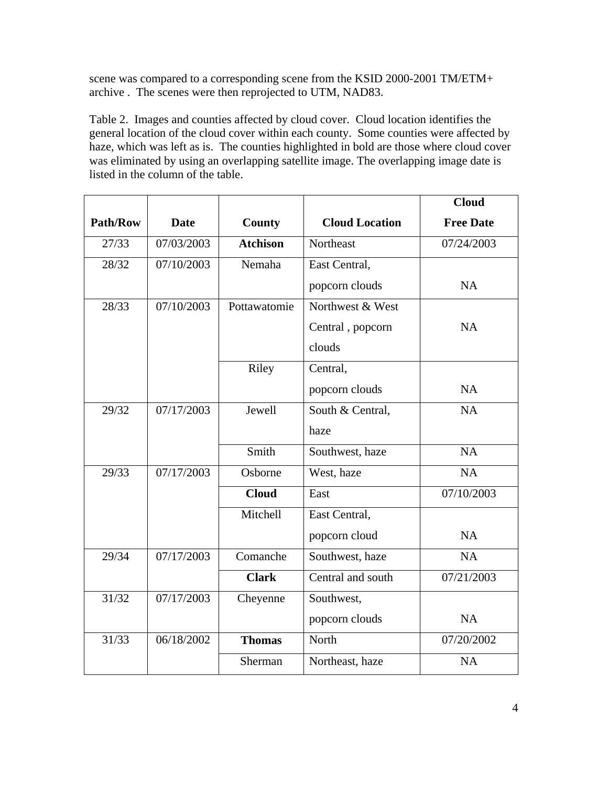scene was compared to a corresponding scene from the KSID 2000-2001 TM/ETM+ archive . The scenes were then reprojected to UTM, NAD83.

Table 2. Images and counties affected by cloud cover. Cloud location identifies the general location of the cloud cover within each county. Some counties were affected by haze, which was left as is. The counties highlighted in bold are those where cloud cover was eliminated by using an overlapping satellite image. The overlapping image date is listed in the column of the table.

|          |             |                 |                       | <b>Cloud</b>     |
|----------|-------------|-----------------|-----------------------|------------------|
| Path/Row | <b>Date</b> | County          | <b>Cloud Location</b> | <b>Free Date</b> |
| 27/33    | 07/03/2003  | <b>Atchison</b> | Northeast             | 07/24/2003       |
| 28/32    | 07/10/2003  | Nemaha          | East Central,         |                  |
|          |             |                 | popcorn clouds        | <b>NA</b>        |
| 28/33    | 07/10/2003  | Pottawatomie    | Northwest & West      |                  |
|          |             |                 | Central, popcorn      | <b>NA</b>        |
|          |             |                 | clouds                |                  |
|          |             | Riley           | Central,              |                  |
|          |             |                 | popcorn clouds        | <b>NA</b>        |
| 29/32    | 07/17/2003  | Jewell          | South & Central,      | NA               |
|          |             |                 | haze                  |                  |
|          |             | Smith           | Southwest, haze       | <b>NA</b>        |
| 29/33    | 07/17/2003  | Osborne         | West, haze            | <b>NA</b>        |
|          |             | <b>Cloud</b>    | East                  | 07/10/2003       |
|          |             | Mitchell        | East Central,         |                  |
|          |             |                 | popcorn cloud         | NA               |
| 29/34    | 07/17/2003  | Comanche        | Southwest, haze       | <b>NA</b>        |
|          |             | <b>Clark</b>    | Central and south     | 07/21/2003       |
| 31/32    | 07/17/2003  | Cheyenne        | Southwest,            |                  |
|          |             |                 | popcorn clouds        | <b>NA</b>        |
| 31/33    | 06/18/2002  | <b>Thomas</b>   | North                 | 07/20/2002       |
|          |             | Sherman         | Northeast, haze       | <b>NA</b>        |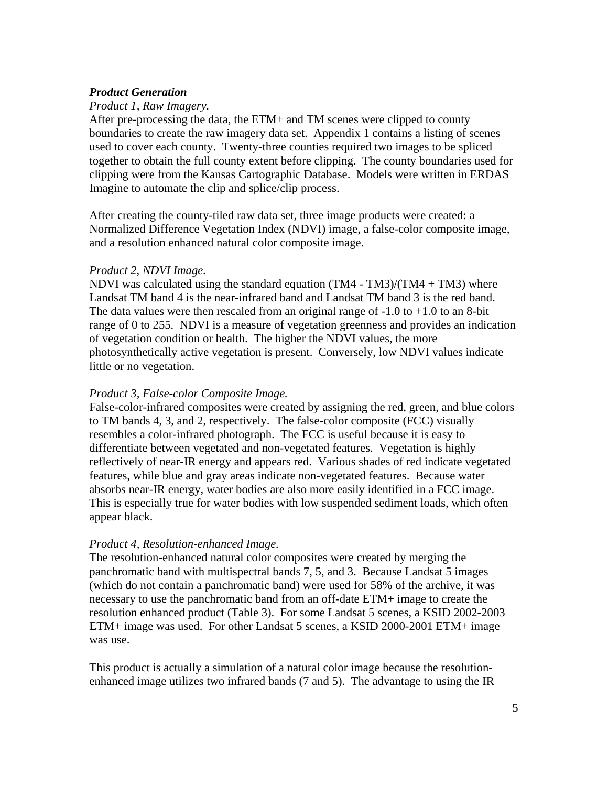## *Product Generation*

#### *Product 1, Raw Imagery.*

After pre-processing the data, the ETM+ and TM scenes were clipped to county boundaries to create the raw imagery data set. Appendix 1 contains a listing of scenes used to cover each county. Twenty-three counties required two images to be spliced together to obtain the full county extent before clipping. The county boundaries used for clipping were from the Kansas Cartographic Database. Models were written in ERDAS Imagine to automate the clip and splice/clip process.

After creating the county-tiled raw data set, three image products were created: a Normalized Difference Vegetation Index (NDVI) image, a false-color composite image, and a resolution enhanced natural color composite image.

#### *Product 2, NDVI Image.*

NDVI was calculated using the standard equation  $(TM4 - TM3)/(TM4 + TM3)$  where Landsat TM band 4 is the near-infrared band and Landsat TM band 3 is the red band. The data values were then rescaled from an original range of  $-1.0$  to  $+1.0$  to an 8-bit range of 0 to 255. NDVI is a measure of vegetation greenness and provides an indication of vegetation condition or health. The higher the NDVI values, the more photosynthetically active vegetation is present. Conversely, low NDVI values indicate little or no vegetation.

#### *Product 3, False-color Composite Image.*

False-color-infrared composites were created by assigning the red, green, and blue colors to TM bands 4, 3, and 2, respectively. The false-color composite (FCC) visually resembles a color-infrared photograph. The FCC is useful because it is easy to differentiate between vegetated and non-vegetated features. Vegetation is highly reflectively of near-IR energy and appears red. Various shades of red indicate vegetated features, while blue and gray areas indicate non-vegetated features. Because water absorbs near-IR energy, water bodies are also more easily identified in a FCC image. This is especially true for water bodies with low suspended sediment loads, which often appear black.

## *Product 4, Resolution-enhanced Image.*

The resolution-enhanced natural color composites were created by merging the panchromatic band with multispectral bands 7, 5, and 3. Because Landsat 5 images (which do not contain a panchromatic band) were used for 58% of the archive, it was necessary to use the panchromatic band from an off-date ETM+ image to create the resolution enhanced product (Table 3). For some Landsat 5 scenes, a KSID 2002-2003 ETM+ image was used. For other Landsat 5 scenes, a KSID 2000-2001 ETM+ image was use.

This product is actually a simulation of a natural color image because the resolutionenhanced image utilizes two infrared bands (7 and 5). The advantage to using the IR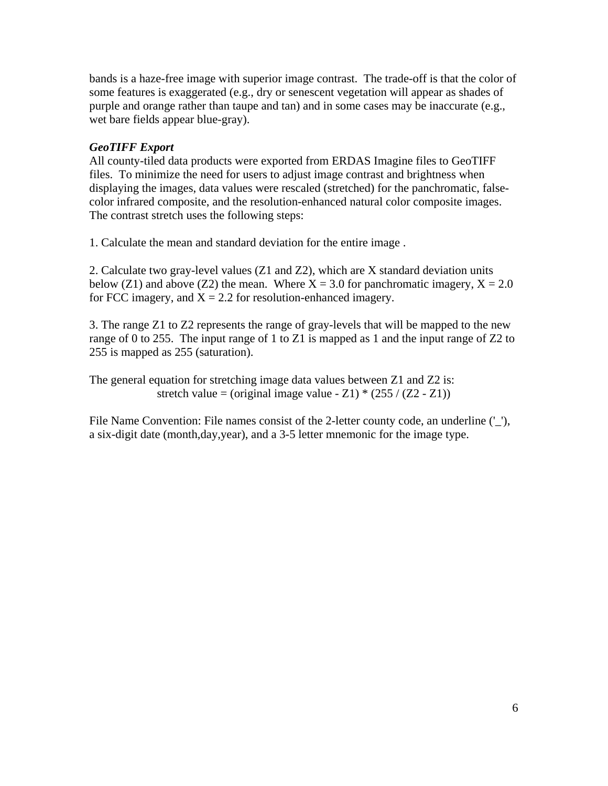bands is a haze-free image with superior image contrast. The trade-off is that the color of some features is exaggerated (e.g., dry or senescent vegetation will appear as shades of purple and orange rather than taupe and tan) and in some cases may be inaccurate (e.g., wet bare fields appear blue-gray).

## *GeoTIFF Export*

All county-tiled data products were exported from ERDAS Imagine files to GeoTIFF files. To minimize the need for users to adjust image contrast and brightness when displaying the images, data values were rescaled (stretched) for the panchromatic, falsecolor infrared composite, and the resolution-enhanced natural color composite images. The contrast stretch uses the following steps:

1. Calculate the mean and standard deviation for the entire image .

2. Calculate two gray-level values (Z1 and Z2), which are X standard deviation units below (Z1) and above (Z2) the mean. Where  $X = 3.0$  for panchromatic imagery,  $X = 2.0$ for FCC imagery, and  $X = 2.2$  for resolution-enhanced imagery.

3. The range Z1 to Z2 represents the range of gray-levels that will be mapped to the new range of 0 to 255. The input range of 1 to Z1 is mapped as 1 and the input range of Z2 to 255 is mapped as 255 (saturation).

The general equation for stretching image data values between Z1 and Z2 is: stretch value = (original image value - Z1)  $*(255 / (Z2 - Z1))$ 

File Name Convention: File names consist of the 2-letter county code, an underline  $(′_$ ), a six-digit date (month,day,year), and a 3-5 letter mnemonic for the image type.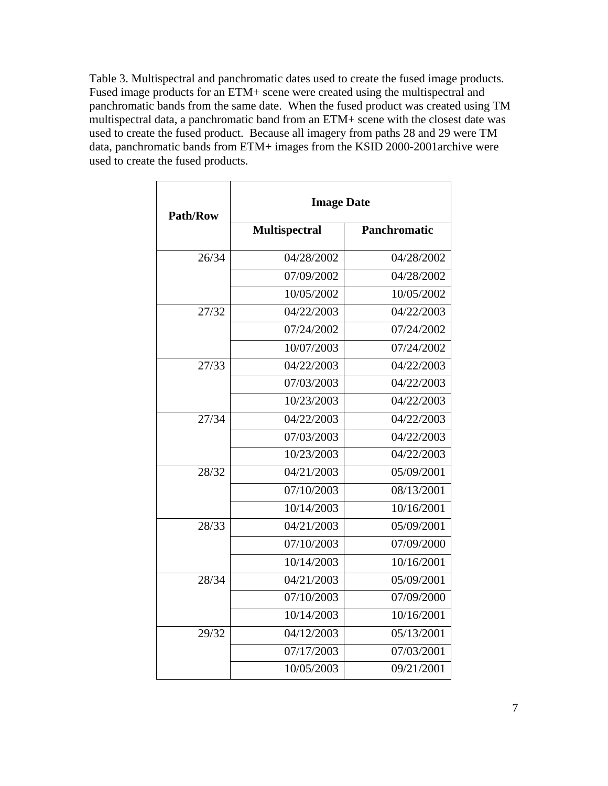Table 3. Multispectral and panchromatic dates used to create the fused image products. Fused image products for an ETM+ scene were created using the multispectral and panchromatic bands from the same date. When the fused product was created using TM multispectral data, a panchromatic band from an ETM+ scene with the closest date was used to create the fused product. Because all imagery from paths 28 and 29 were TM data, panchromatic bands from ETM+ images from the KSID 2000-2001archive were used to create the fused products.

| <b>Path/Row</b> | <b>Image Date</b>    |                     |
|-----------------|----------------------|---------------------|
|                 | <b>Multispectral</b> | <b>Panchromatic</b> |
| 26/34           | 04/28/2002           | 04/28/2002          |
|                 | 07/09/2002           | 04/28/2002          |
|                 | 10/05/2002           | 10/05/2002          |
| 27/32           | 04/22/2003           | 04/22/2003          |
|                 | 07/24/2002           | 07/24/2002          |
|                 | 10/07/2003           | 07/24/2002          |
| 27/33           | 04/22/2003           | 04/22/2003          |
|                 | 07/03/2003           | 04/22/2003          |
|                 | 10/23/2003           | 04/22/2003          |
| 27/34           | 04/22/2003           | 04/22/2003          |
|                 | 07/03/2003           | 04/22/2003          |
|                 | 10/23/2003           | 04/22/2003          |
| 28/32           | 04/21/2003           | 05/09/2001          |
|                 | 07/10/2003           | 08/13/2001          |
|                 | 10/14/2003           | 10/16/2001          |
| 28/33           | 04/21/2003           | 05/09/2001          |
|                 | 07/10/2003           | 07/09/2000          |
|                 | 10/14/2003           | 10/16/2001          |
| 28/34           | 04/21/2003           | 05/09/2001          |
|                 | 07/10/2003           | 07/09/2000          |
|                 | 10/14/2003           | 10/16/2001          |
| 29/32           | 04/12/2003           | 05/13/2001          |
|                 | 07/17/2003           | 07/03/2001          |
|                 | 10/05/2003           | 09/21/2001          |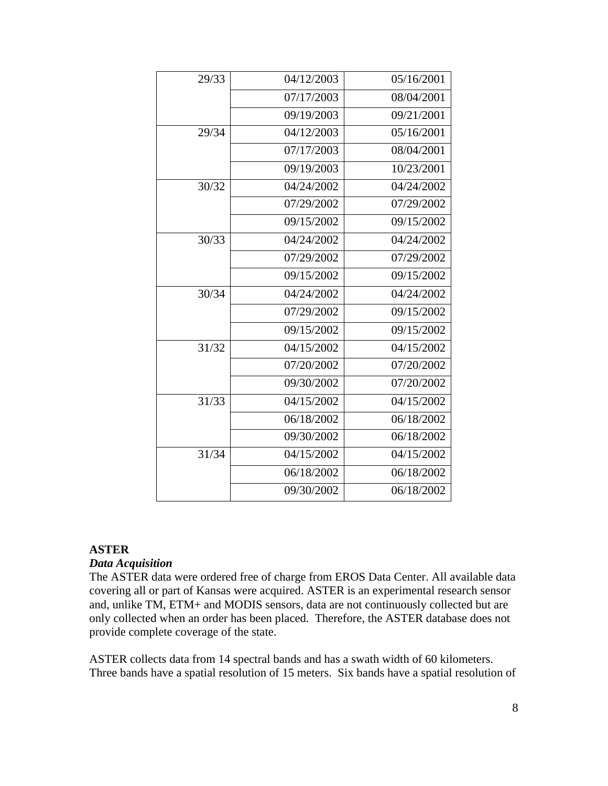| 29/33 | 04/12/2003 | 05/16/2001 |
|-------|------------|------------|
|       | 07/17/2003 | 08/04/2001 |
|       | 09/19/2003 | 09/21/2001 |
| 29/34 | 04/12/2003 | 05/16/2001 |
|       | 07/17/2003 | 08/04/2001 |
|       | 09/19/2003 | 10/23/2001 |
| 30/32 | 04/24/2002 | 04/24/2002 |
|       | 07/29/2002 | 07/29/2002 |
|       | 09/15/2002 | 09/15/2002 |
| 30/33 | 04/24/2002 | 04/24/2002 |
|       | 07/29/2002 | 07/29/2002 |
|       | 09/15/2002 | 09/15/2002 |
| 30/34 | 04/24/2002 | 04/24/2002 |
|       | 07/29/2002 | 09/15/2002 |
|       | 09/15/2002 | 09/15/2002 |
| 31/32 | 04/15/2002 | 04/15/2002 |
|       | 07/20/2002 | 07/20/2002 |
|       | 09/30/2002 | 07/20/2002 |
| 31/33 | 04/15/2002 | 04/15/2002 |
|       | 06/18/2002 | 06/18/2002 |
|       | 09/30/2002 | 06/18/2002 |
| 31/34 | 04/15/2002 | 04/15/2002 |
|       | 06/18/2002 | 06/18/2002 |
|       | 09/30/2002 | 06/18/2002 |

#### **ASTER**

#### *Data Acquisition*

The ASTER data were ordered free of charge from EROS Data Center. All available data covering all or part of Kansas were acquired. ASTER is an experimental research sensor and, unlike TM, ETM+ and MODIS sensors, data are not continuously collected but are only collected when an order has been placed. Therefore, the ASTER database does not provide complete coverage of the state.

ASTER collects data from 14 spectral bands and has a swath width of 60 kilometers. Three bands have a spatial resolution of 15 meters. Six bands have a spatial resolution of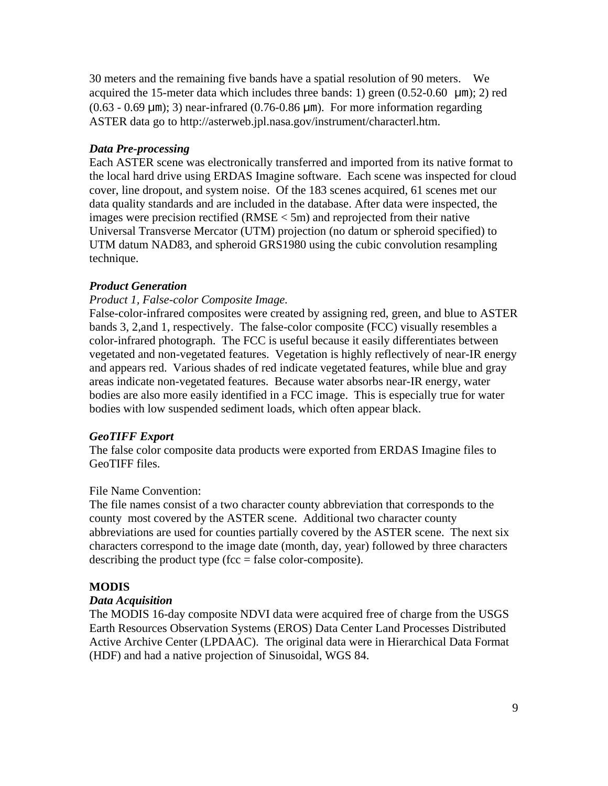30 meters and the remaining five bands have a spatial resolution of 90 meters. We acquired the 15-meter data which includes three bands: 1) green  $(0.52{\text -}0.60 \text{ }\mu\text{m})$ ; 2) red  $(0.63 - 0.69 \text{ µm})$ ; 3) near-infrared  $(0.76 - 0.86 \text{ µm})$ . For more information regarding ASTER data go to http://asterweb.jpl.nasa.gov/instrument/characterl.htm.

## *Data Pre-processing*

Each ASTER scene was electronically transferred and imported from its native format to the local hard drive using ERDAS Imagine software. Each scene was inspected for cloud cover, line dropout, and system noise. Of the 183 scenes acquired, 61 scenes met our data quality standards and are included in the database. After data were inspected, the images were precision rectified (RMSE < 5m) and reprojected from their native Universal Transverse Mercator (UTM) projection (no datum or spheroid specified) to UTM datum NAD83, and spheroid GRS1980 using the cubic convolution resampling technique.

## *Product Generation*

## *Product 1, False-color Composite Image.*

False-color-infrared composites were created by assigning red, green, and blue to ASTER bands 3, 2,and 1, respectively. The false-color composite (FCC) visually resembles a color-infrared photograph. The FCC is useful because it easily differentiates between vegetated and non-vegetated features. Vegetation is highly reflectively of near-IR energy and appears red. Various shades of red indicate vegetated features, while blue and gray areas indicate non-vegetated features. Because water absorbs near-IR energy, water bodies are also more easily identified in a FCC image. This is especially true for water bodies with low suspended sediment loads, which often appear black.

## *GeoTIFF Export*

The false color composite data products were exported from ERDAS Imagine files to GeoTIFF files.

## File Name Convention:

The file names consist of a two character county abbreviation that corresponds to the county most covered by the ASTER scene. Additional two character county abbreviations are used for counties partially covered by the ASTER scene. The next six characters correspond to the image date (month, day, year) followed by three characters describing the product type (fcc  $=$  false color-composite).

## **MODIS**

## *Data Acquisition*

The MODIS 16-day composite NDVI data were acquired free of charge from the USGS Earth Resources Observation Systems (EROS) Data Center Land Processes Distributed Active Archive Center (LPDAAC). The original data were in Hierarchical Data Format (HDF) and had a native projection of Sinusoidal, WGS 84.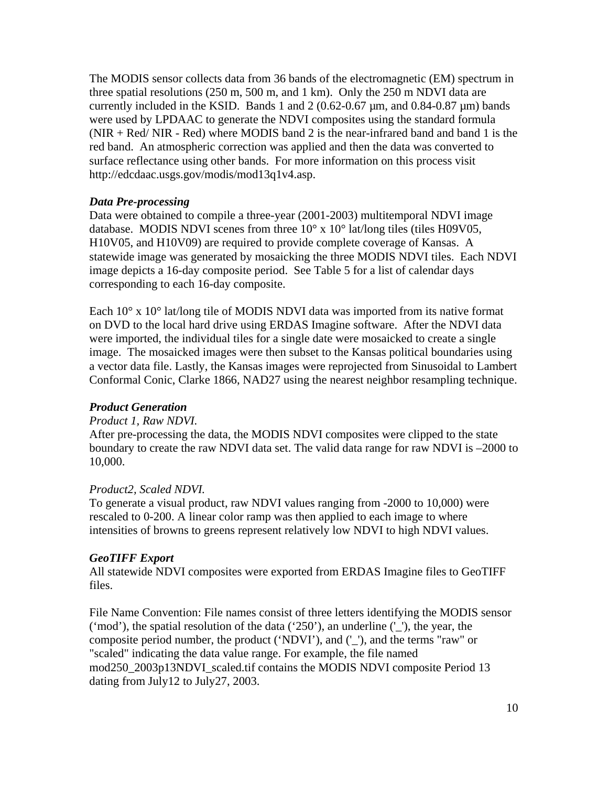The MODIS sensor collects data from 36 bands of the electromagnetic (EM) spectrum in three spatial resolutions (250 m, 500 m, and 1 km). Only the 250 m NDVI data are currently included in the KSID. Bands 1 and  $2(0.62-0.67 \,\mu m,$  and  $0.84-0.87 \,\mu m)$  bands were used by LPDAAC to generate the NDVI composites using the standard formula  $(NIR + Red/NIR - Red)$  where MODIS band 2 is the near-infrared band and band 1 is the red band. An atmospheric correction was applied and then the data was converted to surface reflectance using other bands. For more information on this process visit http://edcdaac.usgs.gov/modis/mod13q1v4.asp.

## *Data Pre-processing*

Data were obtained to compile a three-year (2001-2003) multitemporal NDVI image database. MODIS NDVI scenes from three 10° x 10° lat/long tiles (tiles H09V05, H10V05, and H10V09) are required to provide complete coverage of Kansas. A statewide image was generated by mosaicking the three MODIS NDVI tiles. Each NDVI image depicts a 16-day composite period. See Table 5 for a list of calendar days corresponding to each 16-day composite.

Each 10° x 10° lat/long tile of MODIS NDVI data was imported from its native format on DVD to the local hard drive using ERDAS Imagine software. After the NDVI data were imported, the individual tiles for a single date were mosaicked to create a single image. The mosaicked images were then subset to the Kansas political boundaries using a vector data file. Lastly, the Kansas images were reprojected from Sinusoidal to Lambert Conformal Conic, Clarke 1866, NAD27 using the nearest neighbor resampling technique.

## *Product Generation*

## *Product 1, Raw NDVI.*

After pre-processing the data, the MODIS NDVI composites were clipped to the state boundary to create the raw NDVI data set. The valid data range for raw NDVI is –2000 to 10,000.

## *Product2, Scaled NDVI.*

To generate a visual product, raw NDVI values ranging from -2000 to 10,000) were rescaled to 0-200. A linear color ramp was then applied to each image to where intensities of browns to greens represent relatively low NDVI to high NDVI values.

## *GeoTIFF Export*

All statewide NDVI composites were exported from ERDAS Imagine files to GeoTIFF files.

File Name Convention: File names consist of three letters identifying the MODIS sensor ('mod'), the spatial resolution of the data ('250'), an underline  $'$ ), the year, the composite period number, the product ('NDVI'), and ('\_'), and the terms "raw" or "scaled" indicating the data value range. For example, the file named mod250\_2003p13NDVI\_scaled.tif contains the MODIS NDVI composite Period 13 dating from July12 to July27, 2003.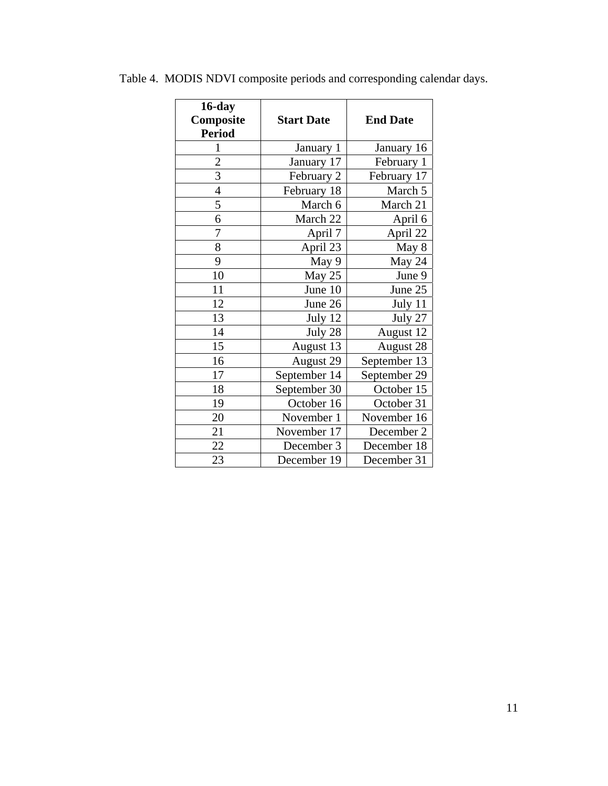| 16-day<br>Composite<br><b>Period</b> | <b>Start Date</b> | <b>End Date</b> |
|--------------------------------------|-------------------|-----------------|
| $\mathbf{1}$                         | January 1         | January 16      |
| $\overline{c}$                       | January 17        | February 1      |
| $\overline{3}$                       | February 2        | February 17     |
| $\overline{4}$                       | February 18       | March 5         |
| 5                                    | March 6           | March 21        |
| 6                                    | March 22          | April 6         |
| 7                                    | April 7           | April 22        |
| 8                                    | April 23          | May 8           |
| 9                                    | May 9             | May 24          |
| 10                                   | May 25            | June 9          |
| 11                                   | June 10           | June 25         |
| 12                                   | June 26           | July 11         |
| 13                                   | July 12           | July 27         |
| 14                                   | July 28           | August 12       |
| 15                                   | August 13         | August 28       |
| 16                                   | August 29         | September 13    |
| 17                                   | September 14      | September 29    |
| 18                                   | September 30      | October 15      |
| 19                                   | October 16        | October 31      |
| 20                                   | November 1        | November 16     |
| 21                                   | November 17       | December 2      |
| 22                                   | December 3        | December 18     |
| 23                                   | December 19       | December 31     |

Table 4. MODIS NDVI composite periods and corresponding calendar days.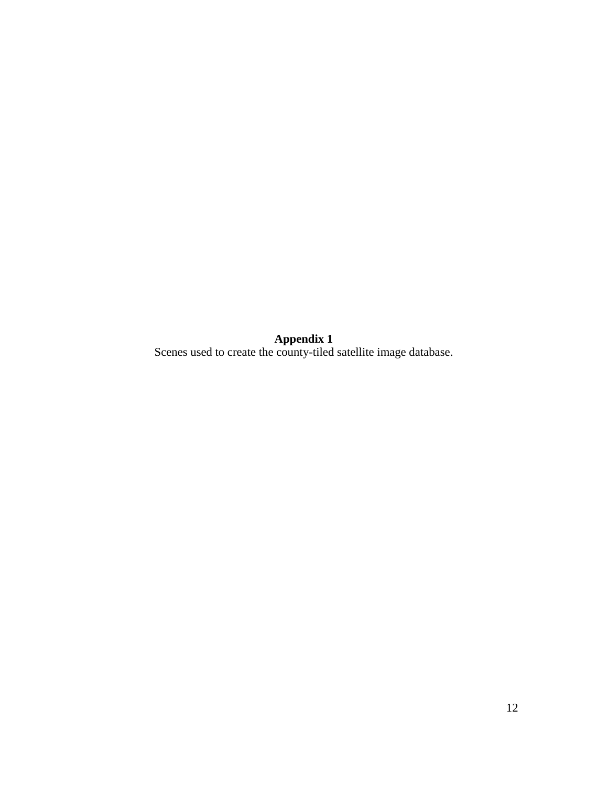**Appendix 1** 

Scenes used to create the county-tiled satellite image database.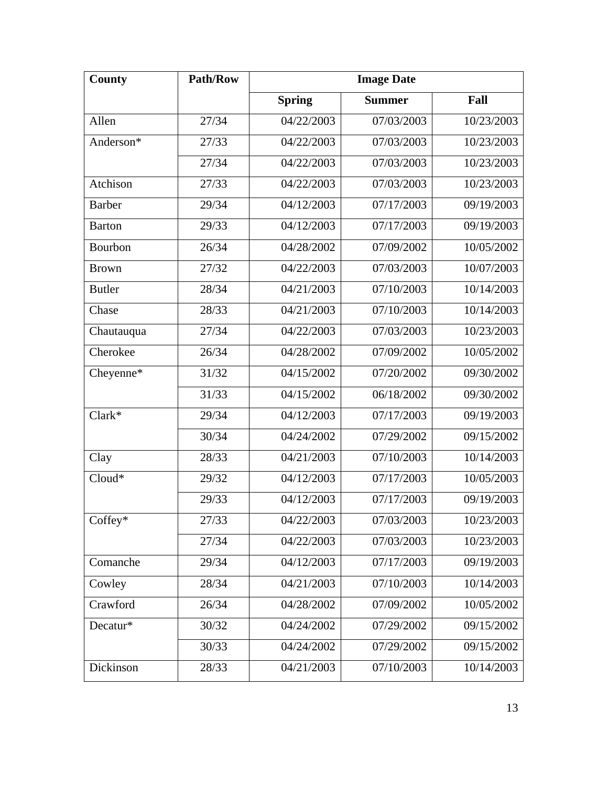| County        | <b>Path/Row</b> | <b>Image Date</b> |               |            |
|---------------|-----------------|-------------------|---------------|------------|
|               |                 | <b>Spring</b>     | <b>Summer</b> | Fall       |
| Allen         | 27/34           | 04/22/2003        | 07/03/2003    | 10/23/2003 |
| Anderson*     | 27/33           | 04/22/2003        | 07/03/2003    | 10/23/2003 |
|               | 27/34           | 04/22/2003        | 07/03/2003    | 10/23/2003 |
| Atchison      | 27/33           | 04/22/2003        | 07/03/2003    | 10/23/2003 |
| <b>Barber</b> | 29/34           | 04/12/2003        | 07/17/2003    | 09/19/2003 |
| <b>Barton</b> | 29/33           | 04/12/2003        | 07/17/2003    | 09/19/2003 |
| Bourbon       | 26/34           | 04/28/2002        | 07/09/2002    | 10/05/2002 |
| <b>Brown</b>  | 27/32           | 04/22/2003        | 07/03/2003    | 10/07/2003 |
| <b>Butler</b> | 28/34           | 04/21/2003        | 07/10/2003    | 10/14/2003 |
| Chase         | 28/33           | 04/21/2003        | 07/10/2003    | 10/14/2003 |
| Chautauqua    | 27/34           | 04/22/2003        | 07/03/2003    | 10/23/2003 |
| Cherokee      | 26/34           | 04/28/2002        | 07/09/2002    | 10/05/2002 |
| Cheyenne*     | 31/32           | 04/15/2002        | 07/20/2002    | 09/30/2002 |
|               | 31/33           | 04/15/2002        | 06/18/2002    | 09/30/2002 |
| $Clark*$      | 29/34           | 04/12/2003        | 07/17/2003    | 09/19/2003 |
|               | 30/34           | 04/24/2002        | 07/29/2002    | 09/15/2002 |
| Clay          | 28/33           | 04/21/2003        | 07/10/2003    | 10/14/2003 |
| Cloud*        | 29/32           | 04/12/2003        | 07/17/2003    | 10/05/2003 |
|               | 29/33           | 04/12/2003        | 07/17/2003    | 09/19/2003 |
| Coffey*       | 27/33           | 04/22/2003        | 07/03/2003    | 10/23/2003 |
|               | 27/34           | 04/22/2003        | 07/03/2003    | 10/23/2003 |
| Comanche      | 29/34           | 04/12/2003        | 07/17/2003    | 09/19/2003 |
| Cowley        | 28/34           | 04/21/2003        | 07/10/2003    | 10/14/2003 |
| Crawford      | 26/34           | 04/28/2002        | 07/09/2002    | 10/05/2002 |
| Decatur*      | 30/32           | 04/24/2002        | 07/29/2002    | 09/15/2002 |
|               | 30/33           | 04/24/2002        | 07/29/2002    | 09/15/2002 |
| Dickinson     | 28/33           | 04/21/2003        | 07/10/2003    | 10/14/2003 |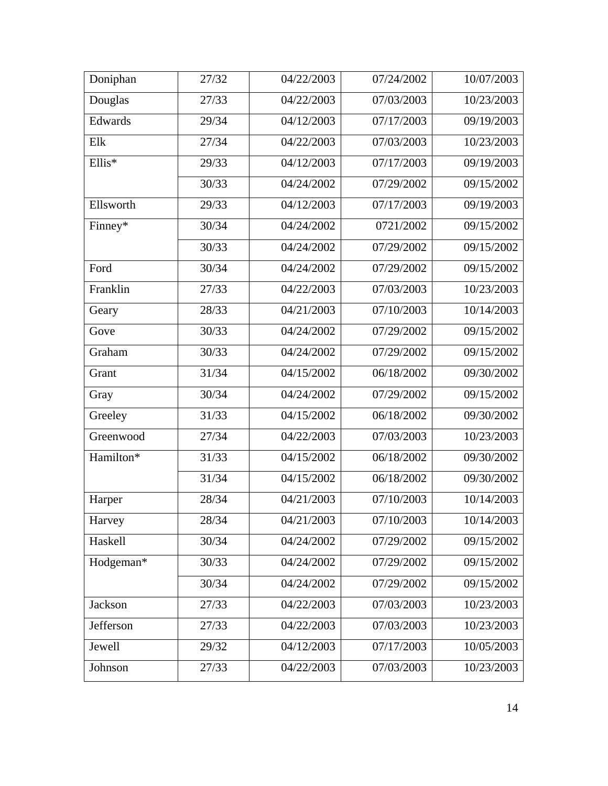| Doniphan  | 27/32 | 04/22/2003 | 07/24/2002 | 10/07/2003 |
|-----------|-------|------------|------------|------------|
| Douglas   | 27/33 | 04/22/2003 | 07/03/2003 | 10/23/2003 |
| Edwards   | 29/34 | 04/12/2003 | 07/17/2003 | 09/19/2003 |
| Elk       | 27/34 | 04/22/2003 | 07/03/2003 | 10/23/2003 |
| Ellis*    | 29/33 | 04/12/2003 | 07/17/2003 | 09/19/2003 |
|           | 30/33 | 04/24/2002 | 07/29/2002 | 09/15/2002 |
| Ellsworth | 29/33 | 04/12/2003 | 07/17/2003 | 09/19/2003 |
| Finney*   | 30/34 | 04/24/2002 | 0721/2002  | 09/15/2002 |
|           | 30/33 | 04/24/2002 | 07/29/2002 | 09/15/2002 |
| Ford      | 30/34 | 04/24/2002 | 07/29/2002 | 09/15/2002 |
| Franklin  | 27/33 | 04/22/2003 | 07/03/2003 | 10/23/2003 |
| Geary     | 28/33 | 04/21/2003 | 07/10/2003 | 10/14/2003 |
| Gove      | 30/33 | 04/24/2002 | 07/29/2002 | 09/15/2002 |
| Graham    | 30/33 | 04/24/2002 | 07/29/2002 | 09/15/2002 |
| Grant     | 31/34 | 04/15/2002 | 06/18/2002 | 09/30/2002 |
| Gray      | 30/34 | 04/24/2002 | 07/29/2002 | 09/15/2002 |
| Greeley   | 31/33 | 04/15/2002 | 06/18/2002 | 09/30/2002 |
| Greenwood | 27/34 | 04/22/2003 | 07/03/2003 | 10/23/2003 |
| Hamilton* | 31/33 | 04/15/2002 | 06/18/2002 | 09/30/2002 |
|           | 31/34 | 04/15/2002 | 06/18/2002 | 09/30/2002 |
| Harper    | 28/34 | 04/21/2003 | 07/10/2003 | 10/14/2003 |
| Harvey    | 28/34 | 04/21/2003 | 07/10/2003 | 10/14/2003 |
| Haskell   | 30/34 | 04/24/2002 | 07/29/2002 | 09/15/2002 |
| Hodgeman* | 30/33 | 04/24/2002 | 07/29/2002 | 09/15/2002 |
|           | 30/34 | 04/24/2002 | 07/29/2002 | 09/15/2002 |
| Jackson   | 27/33 | 04/22/2003 | 07/03/2003 | 10/23/2003 |
| Jefferson | 27/33 | 04/22/2003 | 07/03/2003 | 10/23/2003 |
| Jewell    | 29/32 | 04/12/2003 | 07/17/2003 | 10/05/2003 |
| Johnson   | 27/33 | 04/22/2003 | 07/03/2003 | 10/23/2003 |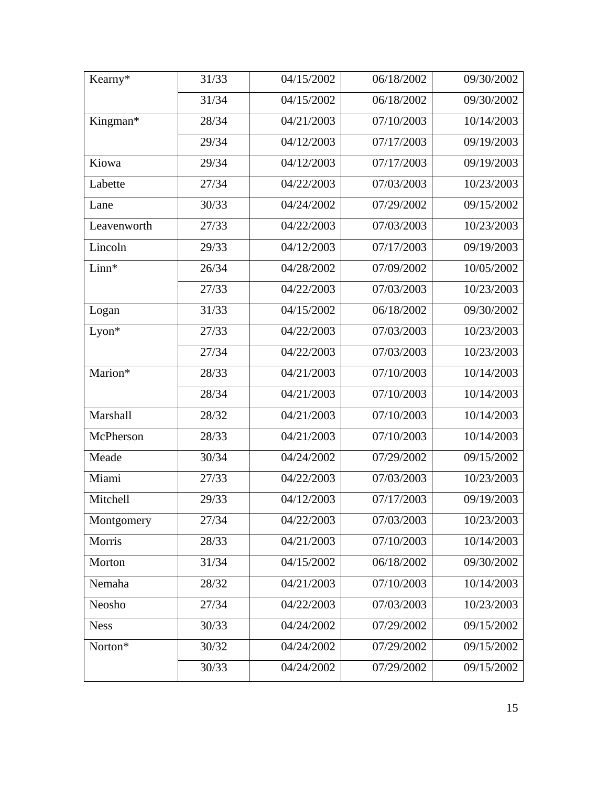| Kearny*     | 31/33 | 04/15/2002 | 06/18/2002 | 09/30/2002 |
|-------------|-------|------------|------------|------------|
|             | 31/34 | 04/15/2002 | 06/18/2002 | 09/30/2002 |
| Kingman*    | 28/34 | 04/21/2003 | 07/10/2003 | 10/14/2003 |
|             | 29/34 | 04/12/2003 | 07/17/2003 | 09/19/2003 |
| Kiowa       | 29/34 | 04/12/2003 | 07/17/2003 | 09/19/2003 |
| Labette     | 27/34 | 04/22/2003 | 07/03/2003 | 10/23/2003 |
| Lane        | 30/33 | 04/24/2002 | 07/29/2002 | 09/15/2002 |
| Leavenworth | 27/33 | 04/22/2003 | 07/03/2003 | 10/23/2003 |
| Lincoln     | 29/33 | 04/12/2003 | 07/17/2003 | 09/19/2003 |
| Linn*       | 26/34 | 04/28/2002 | 07/09/2002 | 10/05/2002 |
|             | 27/33 | 04/22/2003 | 07/03/2003 | 10/23/2003 |
| Logan       | 31/33 | 04/15/2002 | 06/18/2002 | 09/30/2002 |
| $Lyon*$     | 27/33 | 04/22/2003 | 07/03/2003 | 10/23/2003 |
|             | 27/34 | 04/22/2003 | 07/03/2003 | 10/23/2003 |
| Marion*     | 28/33 | 04/21/2003 | 07/10/2003 | 10/14/2003 |
|             | 28/34 | 04/21/2003 | 07/10/2003 | 10/14/2003 |
| Marshall    | 28/32 | 04/21/2003 | 07/10/2003 | 10/14/2003 |
| McPherson   | 28/33 | 04/21/2003 | 07/10/2003 | 10/14/2003 |
| Meade       | 30/34 | 04/24/2002 | 07/29/2002 | 09/15/2002 |
| Miami       | 27/33 | 04/22/2003 | 07/03/2003 | 10/23/2003 |
| Mitchell    | 29/33 | 04/12/2003 | 07/17/2003 | 09/19/2003 |
| Montgomery  | 27/34 | 04/22/2003 | 07/03/2003 | 10/23/2003 |
| Morris      | 28/33 | 04/21/2003 | 07/10/2003 | 10/14/2003 |
| Morton      | 31/34 | 04/15/2002 | 06/18/2002 | 09/30/2002 |
| Nemaha      | 28/32 | 04/21/2003 | 07/10/2003 | 10/14/2003 |
| Neosho      | 27/34 | 04/22/2003 | 07/03/2003 | 10/23/2003 |
| <b>Ness</b> | 30/33 | 04/24/2002 | 07/29/2002 | 09/15/2002 |
| Norton*     | 30/32 | 04/24/2002 | 07/29/2002 | 09/15/2002 |
|             | 30/33 | 04/24/2002 | 07/29/2002 | 09/15/2002 |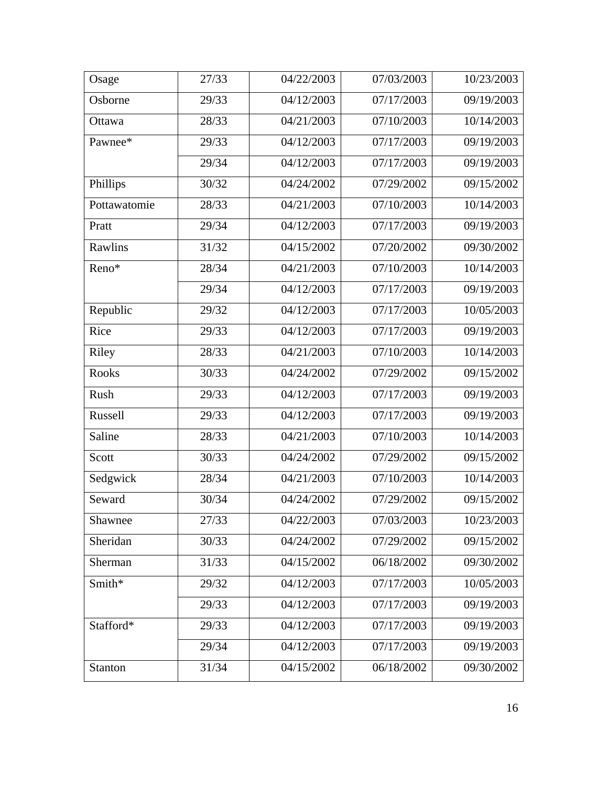| Osage        | 27/33 | 04/22/2003 | 07/03/2003 | 10/23/2003 |
|--------------|-------|------------|------------|------------|
| Osborne      | 29/33 | 04/12/2003 | 07/17/2003 | 09/19/2003 |
| Ottawa       | 28/33 | 04/21/2003 | 07/10/2003 | 10/14/2003 |
| Pawnee*      | 29/33 | 04/12/2003 | 07/17/2003 | 09/19/2003 |
|              | 29/34 | 04/12/2003 | 07/17/2003 | 09/19/2003 |
| Phillips     | 30/32 | 04/24/2002 | 07/29/2002 | 09/15/2002 |
| Pottawatomie | 28/33 | 04/21/2003 | 07/10/2003 | 10/14/2003 |
| Pratt        | 29/34 | 04/12/2003 | 07/17/2003 | 09/19/2003 |
| Rawlins      | 31/32 | 04/15/2002 | 07/20/2002 | 09/30/2002 |
| Reno*        | 28/34 | 04/21/2003 | 07/10/2003 | 10/14/2003 |
|              | 29/34 | 04/12/2003 | 07/17/2003 | 09/19/2003 |
| Republic     | 29/32 | 04/12/2003 | 07/17/2003 | 10/05/2003 |
| Rice         | 29/33 | 04/12/2003 | 07/17/2003 | 09/19/2003 |
| Riley        | 28/33 | 04/21/2003 | 07/10/2003 | 10/14/2003 |
| <b>Rooks</b> | 30/33 | 04/24/2002 | 07/29/2002 | 09/15/2002 |
| Rush         | 29/33 | 04/12/2003 | 07/17/2003 | 09/19/2003 |
| Russell      | 29/33 | 04/12/2003 | 07/17/2003 | 09/19/2003 |
| Saline       | 28/33 | 04/21/2003 | 07/10/2003 | 10/14/2003 |
| Scott        | 30/33 | 04/24/2002 | 07/29/2002 | 09/15/2002 |
| Sedgwick     | 28/34 | 04/21/2003 | 07/10/2003 | 10/14/2003 |
| Seward       | 30/34 | 04/24/2002 | 07/29/2002 | 09/15/2002 |
| Shawnee      | 27/33 | 04/22/2003 | 07/03/2003 | 10/23/2003 |
| Sheridan     | 30/33 | 04/24/2002 | 07/29/2002 | 09/15/2002 |
| Sherman      | 31/33 | 04/15/2002 | 06/18/2002 | 09/30/2002 |
| Smith*       | 29/32 | 04/12/2003 | 07/17/2003 | 10/05/2003 |
|              | 29/33 | 04/12/2003 | 07/17/2003 | 09/19/2003 |
| Stafford*    | 29/33 | 04/12/2003 | 07/17/2003 | 09/19/2003 |
|              | 29/34 | 04/12/2003 | 07/17/2003 | 09/19/2003 |
| Stanton      | 31/34 | 04/15/2002 | 06/18/2002 | 09/30/2002 |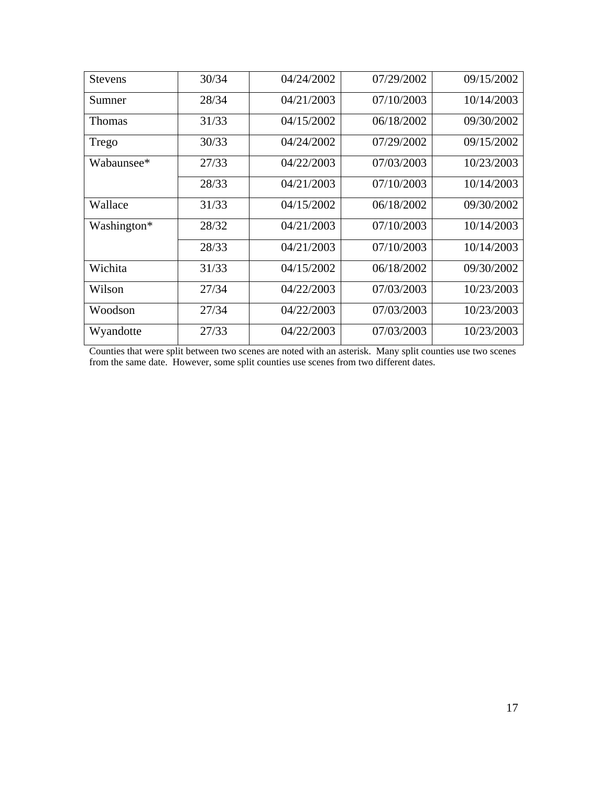| <b>Stevens</b> | 30/34 | 04/24/2002 | 07/29/2002 | 09/15/2002 |
|----------------|-------|------------|------------|------------|
| Sumner         | 28/34 | 04/21/2003 | 07/10/2003 | 10/14/2003 |
| <b>Thomas</b>  | 31/33 | 04/15/2002 | 06/18/2002 | 09/30/2002 |
| Trego          | 30/33 | 04/24/2002 | 07/29/2002 | 09/15/2002 |
| Wabaunsee*     | 27/33 | 04/22/2003 | 07/03/2003 | 10/23/2003 |
|                | 28/33 | 04/21/2003 | 07/10/2003 | 10/14/2003 |
| Wallace        | 31/33 | 04/15/2002 | 06/18/2002 | 09/30/2002 |
| Washington*    | 28/32 | 04/21/2003 | 07/10/2003 | 10/14/2003 |
|                | 28/33 | 04/21/2003 | 07/10/2003 | 10/14/2003 |
| Wichita        | 31/33 | 04/15/2002 | 06/18/2002 | 09/30/2002 |
| Wilson         | 27/34 | 04/22/2003 | 07/03/2003 | 10/23/2003 |
| Woodson        | 27/34 | 04/22/2003 | 07/03/2003 | 10/23/2003 |
| Wyandotte      | 27/33 | 04/22/2003 | 07/03/2003 | 10/23/2003 |

Counties that were split between two scenes are noted with an asterisk. Many split counties use two scenes from the same date. However, some split counties use scenes from two different dates.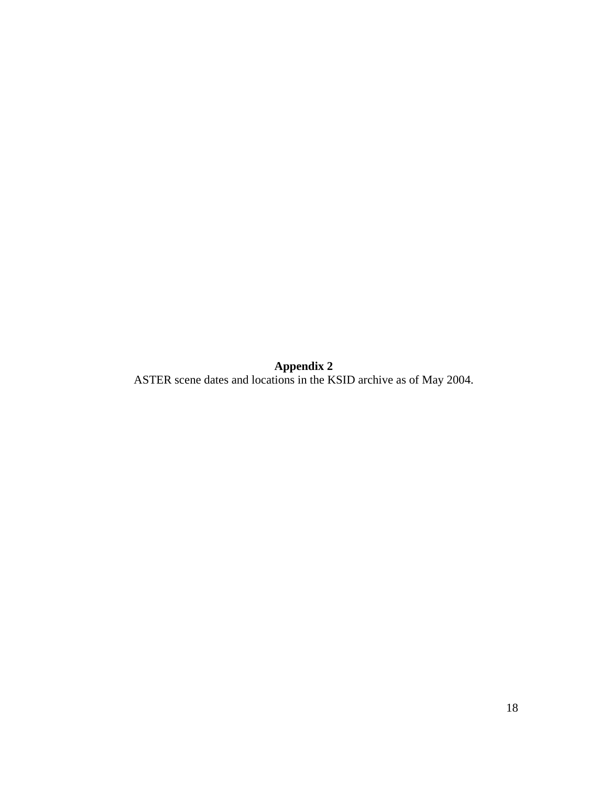**Appendix 2**  ASTER scene dates and locations in the KSID archive as of May 2004.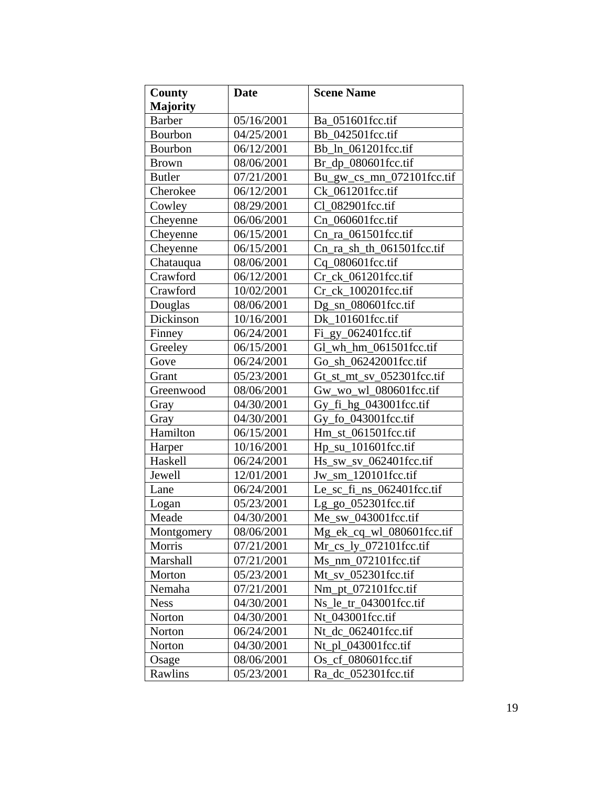| County          | <b>Date</b> | <b>Scene Name</b>         |
|-----------------|-------------|---------------------------|
| <b>Majority</b> |             |                           |
| <b>Barber</b>   | 05/16/2001  | Ba 051601fcc.tif          |
| Bourbon         | 04/25/2001  | Bb 042501fcc.tif          |
| Bourbon         | 06/12/2001  | Bb_ln_061201fcc.tif       |
| <b>Brown</b>    | 08/06/2001  | Br_dp_080601fcc.tif       |
| <b>Butler</b>   | 07/21/2001  | Bu_gw_cs_mn_072101fcc.tif |
| Cherokee        | 06/12/2001  | Ck 061201fcc.tif          |
| Cowley          | 08/29/2001  | Cl_082901fcc.tif          |
| Cheyenne        | 06/06/2001  | Cn_060601fcc.tif          |
| Cheyenne        | 06/15/2001  | Cn_ra_061501fcc.tif       |
| Cheyenne        | 06/15/2001  | Cn_ra_sh_th_061501fcc.tif |
| Chatauqua       | 08/06/2001  | Cq_080601fcc.tif          |
| Crawford        | 06/12/2001  | Cr_ck_061201fcc.tif       |
| Crawford        | 10/02/2001  | Cr ck 100201fcc.tif       |
| Douglas         | 08/06/2001  | Dg sn 080601fcc.tif       |
| Dickinson       | 10/16/2001  | Dk 101601fcc.tif          |
| Finney          | 06/24/2001  | $Fi$ gy_062401fcc.tif     |
| Greeley         | 06/15/2001  | Gl_wh_hm_061501fcc.tif    |
| Gove            | 06/24/2001  | Go sh 06242001fcc.tif     |
| Grant           | 05/23/2001  | Gt_st_mt_sv_052301fcc.tif |
| Greenwood       | 08/06/2001  | Gw_wo_wl_080601fcc.tif    |
| Gray            | 04/30/2001  | Gy_fi_hg_043001fcc.tif    |
| Gray            | 04/30/2001  | Gy_fo_043001fcc.tif       |
| Hamilton        | 06/15/2001  | Hm st 061501fcc.tif       |
| Harper          | 10/16/2001  | Hp_su_101601fcc.tif       |
| Haskell         | 06/24/2001  | $Hs$ _sw_sv_062401fcc.tif |
| Jewell          | 12/01/2001  | Jw_sm_120101fcc.tif       |
| Lane            | 06/24/2001  | Le_sc_fi_ns_062401fcc.tif |
| Logan           | 05/23/2001  | Lg_go_052301fcc.tif       |
| Meade           | 04/30/2001  | Me_sw_043001fcc.tif       |
| Montgomery      | 08/06/2001  | Mg_ek_cq_wl_080601fcc.tif |
| Morris          | 07/21/2001  | Mr cs ly 072101fcc.tif    |
| Marshall        | 07/21/2001  | Ms nm 072101fcc.tif       |
| Morton          | 05/23/2001  | $Mt$ _sv_052301fcc.tif    |
| Nemaha          | 07/21/2001  | Nm_pt_072101fcc.tif       |
| <b>Ness</b>     | 04/30/2001  | Ns le tr 043001fcc.tif    |
| Norton          | 04/30/2001  | Nt 043001fcc.tif          |
| Norton          | 06/24/2001  | Nt dc 062401fcc.tif       |
| Norton          | 04/30/2001  | Nt pl 043001fcc.tif       |
| Osage           | 08/06/2001  | Os_cf_080601fcc.tif       |
| Rawlins         | 05/23/2001  | Ra dc 052301fcc.tif       |